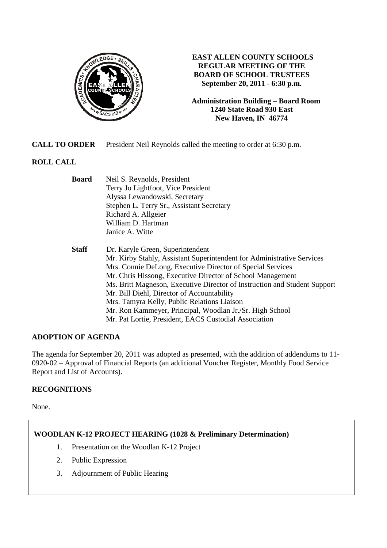

### **EAST ALLEN COUNTY SCHOOLS REGULAR MEETING OF THE BOARD OF SCHOOL TRUSTEES September 20, 2011 - 6:30 p.m.**

**Administration Building – Board Room 1240 State Road 930 East New Haven, IN 46774**

**CALL TO ORDER** President Neil Reynolds called the meeting to order at 6:30 p.m.

## **ROLL CALL**

| <b>Board</b> | Neil S. Reynolds, President                                               |
|--------------|---------------------------------------------------------------------------|
|              | Terry Jo Lightfoot, Vice President                                        |
|              | Alyssa Lewandowski, Secretary                                             |
|              | Stephen L. Terry Sr., Assistant Secretary                                 |
|              | Richard A. Allgeier                                                       |
|              | William D. Hartman                                                        |
|              | Janice A. Witte                                                           |
| <b>Staff</b> | Dr. Karyle Green, Superintendent                                          |
|              | Mr. Kirby Stahly, Assistant Superintendent for Administrative Services    |
|              | Mrs. Connie DeLong, Executive Director of Special Services                |
|              | Mr. Chris Hissong, Executive Director of School Management                |
|              | Ms. Britt Magneson, Executive Director of Instruction and Student Support |
|              | Mr. Bill Diehl, Director of Accountability                                |
|              | Mrs. Tamyra Kelly, Public Relations Liaison                               |
|              | Mr. Ron Kammeyer, Principal, Woodlan Jr./Sr. High School                  |
|              | Mr. Pat Lortie, President, EACS Custodial Association                     |

### **ADOPTION OF AGENDA**

The agenda for September 20, 2011 was adopted as presented, with the addition of addendums to 11- 0920-02 – Approval of Financial Reports (an additional Voucher Register, Monthly Food Service Report and List of Accounts).

### **RECOGNITIONS**

None.

### **WOODLAN K-12 PROJECT HEARING (1028 & Preliminary Determination)**

- 1. Presentation on the Woodlan K-12 Project
- 2. Public Expression
- 3. Adjournment of Public Hearing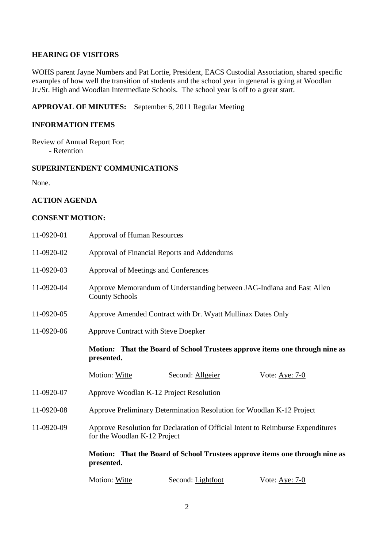### **HEARING OF VISITORS**

WOHS parent Jayne Numbers and Pat Lortie, President, EACS Custodial Association, shared specific examples of how well the transition of students and the school year in general is going at Woodlan Jr./Sr. High and Woodlan Intermediate Schools. The school year is off to a great start.

### **APPROVAL OF MINUTES:** September 6, 2011 Regular Meeting

### **INFORMATION ITEMS**

Review of Annual Report For: - Retention

### **SUPERINTENDENT COMMUNICATIONS**

None.

### **ACTION AGENDA**

### **CONSENT MOTION:**

| 11-0920-01 | <b>Approval of Human Resources</b>                                                                              |                                             |                                                                             |
|------------|-----------------------------------------------------------------------------------------------------------------|---------------------------------------------|-----------------------------------------------------------------------------|
| 11-0920-02 |                                                                                                                 | Approval of Financial Reports and Addendums |                                                                             |
| 11-0920-03 | Approval of Meetings and Conferences                                                                            |                                             |                                                                             |
| 11-0920-04 | <b>County Schools</b>                                                                                           |                                             | Approve Memorandum of Understanding between JAG-Indiana and East Allen      |
| 11-0920-05 | Approve Amended Contract with Dr. Wyatt Mullinax Dates Only                                                     |                                             |                                                                             |
| 11-0920-06 | <b>Approve Contract with Steve Doepker</b>                                                                      |                                             |                                                                             |
|            | Motion: That the Board of School Trustees approve items one through nine as<br>presented.                       |                                             |                                                                             |
|            | Motion: Witte                                                                                                   | Second: Allgeier                            | Vote: <u>Aye: 7-0</u>                                                       |
| 11-0920-07 | Approve Woodlan K-12 Project Resolution                                                                         |                                             |                                                                             |
| 11-0920-08 | Approve Preliminary Determination Resolution for Woodlan K-12 Project                                           |                                             |                                                                             |
| 11-0920-09 | Approve Resolution for Declaration of Official Intent to Reimburse Expenditures<br>for the Woodlan K-12 Project |                                             |                                                                             |
|            | presented.                                                                                                      |                                             | Motion: That the Board of School Trustees approve items one through nine as |
|            | <b>Motion: Witte</b>                                                                                            | Second: Lightfoot                           | Vote: Aye: 7-0                                                              |